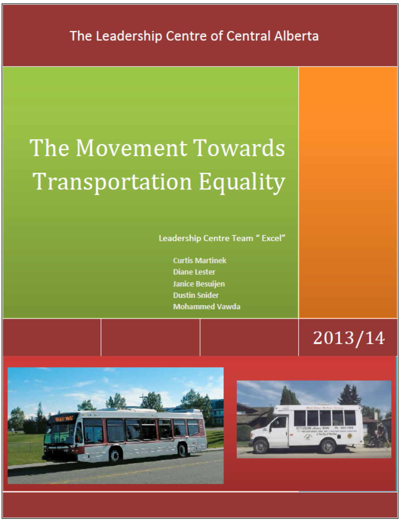# The Movement Towards **Transportation Equality**

Leadership Centre Team " Excel"

**Curtis Martinek Diane Lester Janice Besuijen Dustin Snider Mohammed Vawda** 

 $2013/14$ 



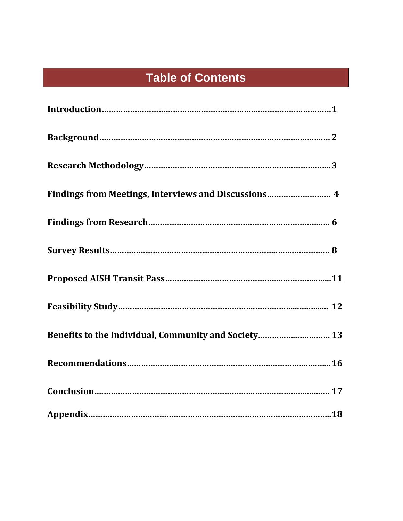# **Table of Contents**

| Findings from Meetings, Interviews and Discussions 4 |
|------------------------------------------------------|
|                                                      |
|                                                      |
|                                                      |
|                                                      |
| Benefits to the Individual, Community and Society 13 |
|                                                      |
|                                                      |
|                                                      |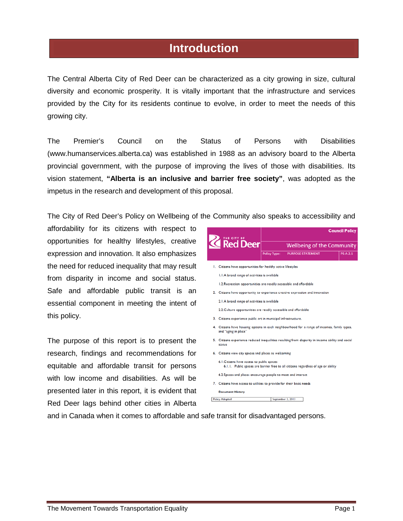### **Introduction**

The Central Alberta City of Red Deer can be characterized as a city growing in size, cultural diversity and economic prosperity. It is vitally important that the infrastructure and services provided by the City for its residents continue to evolve, in order to meet the needs of this growing city.

The Premier's Council on the Status of Persons with Disabilities (www.humanservices.alberta.ca) was established in 1988 as an advisory board to the Alberta provincial government, with the purpose of improving the lives of those with disabilities. Its vision statement, **"Alberta is an inclusive and barrier free society"**, was adopted as the impetus in the research and development of this proposal.

The City of Red Deer's Policy on Wellbeing of the Community also speaks to accessibility and

affordability for its citizens with respect to opportunities for healthy lifestyles, creative expression and innovation. It also emphasizes the need for reduced inequality that may result from disparity in income and social status. Safe and affordable public transit is an essential component in meeting the intent of this policy.

The purpose of this report is to present the research, findings and recommendations for equitable and affordable transit for persons with low income and disabilities. As will be presented later in this report, it is evident that Red Deer lags behind other cities in Alberta



**Document History** 

**Policy Adopted** September 3, 2013

and in Canada when it comes to affordable and safe transit for disadvantaged persons.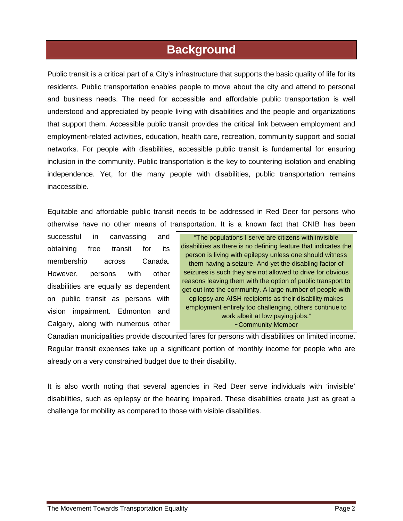### **Background**

Public transit is a critical part of a City's infrastructure that supports the basic quality of life for its residents. Public transportation enables people to move about the city and attend to personal and business needs. The need for accessible and affordable public transportation is well understood and appreciated by people living with disabilities and the people and organizations that support them. Accessible public transit provides the critical link between employment and employment-related activities, education, health care, recreation, community support and social networks. For people with disabilities, accessible public transit is fundamental for ensuring inclusion in the community. Public transportation is the key to countering isolation and enabling independence. Yet, for the many people with disabilities, public transportation remains inaccessible.

Equitable and affordable public transit needs to be addressed in Red Deer for persons who otherwise have no other means of transportation. It is a known fact that CNIB has been

successful in canvassing and obtaining free transit for its membership across Canada. However, persons with other disabilities are equally as dependent on public transit as persons with vision impairment. Edmonton and Calgary, along with numerous other

"The populations I serve are citizens with invisible disabilities as there is no defining feature that indicates the person is living with epilepsy unless one should witness them having a seizure. And yet the disabling factor of seizures is such they are not allowed to drive for obvious reasons leaving them with the option of public transport to get out into the community. A large number of people with epilepsy are AISH recipients as their disability makes employment entirely too challenging, others continue to work albeit at low paying jobs." ~Community Member

Canadian municipalities provide discounted fares for persons with disabilities on limited income. Regular transit expenses take up a significant portion of monthly income for people who are already on a very constrained budget due to their disability.

It is also worth noting that several agencies in Red Deer serve individuals with 'invisible' disabilities, such as epilepsy or the hearing impaired. These disabilities create just as great a challenge for mobility as compared to those with visible disabilities.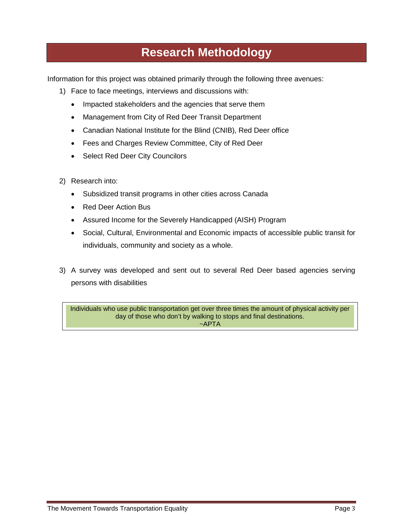# **Research Methodology**

Information for this project was obtained primarily through the following three avenues:

- 1) Face to face meetings, interviews and discussions with:
	- Impacted stakeholders and the agencies that serve them
	- Management from City of Red Deer Transit Department
	- Canadian National Institute for the Blind (CNIB), Red Deer office
	- Fees and Charges Review Committee, City of Red Deer
	- Select Red Deer City Councilors
- 2) Research into:
	- Subsidized transit programs in other cities across Canada
	- Red Deer Action Bus
	- Assured Income for the Severely Handicapped (AISH) Program
	- Social, Cultural, Environmental and Economic impacts of accessible public transit for individuals, community and society as a whole.
- 3) A survey was developed and sent out to several Red Deer based agencies serving persons with disabilities

Individuals who use public transportation get over three times the amount of physical activity per day of those who don't by walking to stops and final destinations.  $~\sim$ APTA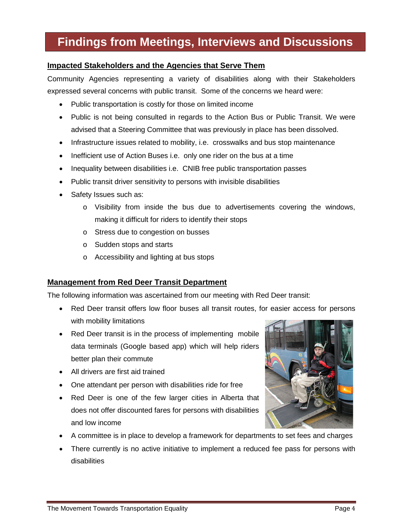# **Findings from Meetings, Interviews and Discussions**

#### **Impacted Stakeholders and the Agencies that Serve Them**

Community Agencies representing a variety of disabilities along with their Stakeholders expressed several concerns with public transit. Some of the concerns we heard were:

- Public transportation is costly for those on limited income
- Public is not being consulted in regards to the Action Bus or Public Transit. We were advised that a Steering Committee that was previously in place has been dissolved.
- Infrastructure issues related to mobility, i.e. crosswalks and bus stop maintenance
- Inefficient use of Action Buses i.e. only one rider on the bus at a time
- Inequality between disabilities i.e. CNIB free public transportation passes
- Public transit driver sensitivity to persons with invisible disabilities
- Safety Issues such as:
	- $\circ$  Visibility from inside the bus due to advertisements covering the windows, making it difficult for riders to identify their stops
	- o Stress due to congestion on busses
	- o Sudden stops and starts
	- o Accessibility and lighting at bus stops

#### **Management from Red Deer Transit Department**

The following information was ascertained from our meeting with Red Deer transit:

- Red Deer transit offers low floor buses all transit routes, for easier access for persons with mobility limitations
- Red Deer transit is in the process of implementing mobile data terminals (Google based app) which will help riders better plan their commute
- All drivers are first aid trained
- One attendant per person with disabilities ride for free
- Red Deer is one of the few larger cities in Alberta that does not offer discounted fares for persons with disabilities and low income
- A committee is in place to develop a framework for departments to set fees and charges
- There currently is no active initiative to implement a reduced fee pass for persons with disabilities

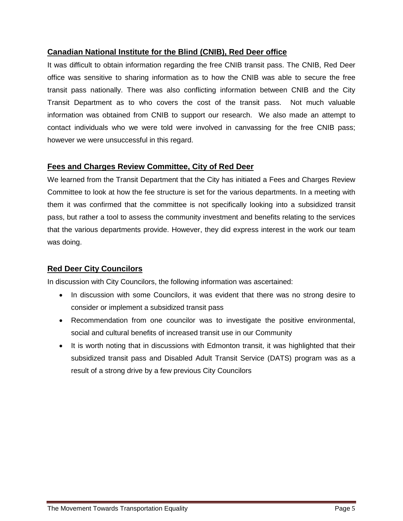#### **Canadian National Institute for the Blind (CNIB), Red Deer office**

It was difficult to obtain information regarding the free CNIB transit pass. The CNIB, Red Deer office was sensitive to sharing information as to how the CNIB was able to secure the free transit pass nationally. There was also conflicting information between CNIB and the City Transit Department as to who covers the cost of the transit pass. Not much valuable information was obtained from CNIB to support our research. We also made an attempt to contact individuals who we were told were involved in canvassing for the free CNIB pass; however we were unsuccessful in this regard.

#### **Fees and Charges Review Committee, City of Red Deer**

We learned from the Transit Department that the City has initiated a Fees and Charges Review Committee to look at how the fee structure is set for the various departments. In a meeting with them it was confirmed that the committee is not specifically looking into a subsidized transit pass, but rather a tool to assess the community investment and benefits relating to the services that the various departments provide. However, they did express interest in the work our team was doing.

#### **Red Deer City Councilors**

In discussion with City Councilors, the following information was ascertained:

- In discussion with some Councilors, it was evident that there was no strong desire to consider or implement a subsidized transit pass
- Recommendation from one councilor was to investigate the positive environmental, social and cultural benefits of increased transit use in our Community
- It is worth noting that in discussions with Edmonton transit, it was highlighted that their subsidized transit pass and Disabled Adult Transit Service (DATS) program was as a result of a strong drive by a few previous City Councilors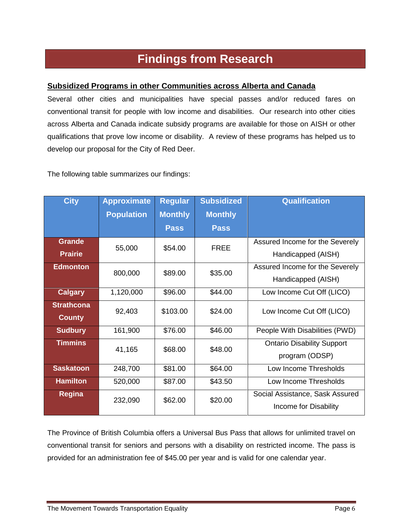### **Findings from Research**

#### **Subsidized Programs in other Communities across Alberta and Canada**

Several other cities and municipalities have special passes and/or reduced fares on conventional transit for people with low income and disabilities. Our research into other cities across Alberta and Canada indicate subsidy programs are available for those on AISH or other qualifications that prove low income or disability. A review of these programs has helped us to develop our proposal for the City of Red Deer.

The following table summarizes our findings:

| <b>City</b>                        | <b>Approximate</b><br><b>Population</b> | <b>Regular</b><br><b>Monthly</b> | <b>Subsidized</b><br><b>Monthly</b> | <b>Qualification</b>                                     |
|------------------------------------|-----------------------------------------|----------------------------------|-------------------------------------|----------------------------------------------------------|
|                                    |                                         | <b>Pass</b>                      | <b>Pass</b>                         |                                                          |
| <b>Grande</b><br><b>Prairie</b>    | 55,000                                  | \$54.00                          | <b>FREE</b>                         | Assured Income for the Severely<br>Handicapped (AISH)    |
| <b>Edmonton</b>                    | 800,000                                 | \$89.00                          | \$35.00                             | Assured Income for the Severely<br>Handicapped (AISH)    |
| <b>Calgary</b>                     | 1,120,000                               | \$96.00                          | \$44.00                             | Low Income Cut Off (LICO)                                |
| <b>Strathcona</b><br><b>County</b> | 92,403                                  | \$103.00                         | \$24.00                             | Low Income Cut Off (LICO)                                |
| <b>Sudbury</b>                     | 161,900                                 | \$76.00                          | \$46.00                             | People With Disabilities (PWD)                           |
| <b>Timmins</b>                     | 41,165                                  | \$68.00                          | \$48.00                             | <b>Ontario Disability Support</b><br>program (ODSP)      |
| <b>Saskatoon</b>                   | 248,700                                 | \$81.00                          | \$64.00                             | Low Income Thresholds                                    |
| <b>Hamilton</b>                    | 520,000                                 | \$87.00                          | \$43.50                             | Low Income Thresholds                                    |
| <b>Regina</b>                      | 232,090                                 | \$62.00                          | \$20.00                             | Social Assistance, Sask Assured<br>Income for Disability |

The Province of British Columbia offers a Universal Bus Pass that allows for unlimited travel on conventional transit for seniors and persons with a disability on restricted income. The pass is provided for an administration fee of \$45.00 per year and is valid for one calendar year.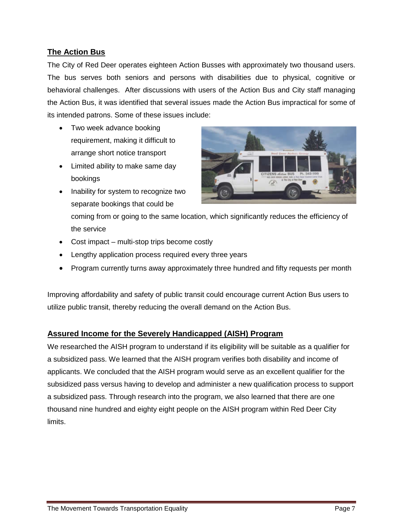#### **The Action Bus**

The City of Red Deer operates eighteen Action Busses with approximately two thousand users. The bus serves both seniors and persons with disabilities due to physical, cognitive or behavioral challenges. After discussions with users of the Action Bus and City staff managing the Action Bus, it was identified that several issues made the Action Bus impractical for some of its intended patrons. Some of these issues include:

- Two week advance booking requirement, making it difficult to arrange short notice transport
- Limited ability to make same day bookings
- Inability for system to recognize two separate bookings that could be



coming from or going to the same location, which significantly reduces the efficiency of the service

- Cost impact multi-stop trips become costly
- Lengthy application process required every three years
- Program currently turns away approximately three hundred and fifty requests per month

Improving affordability and safety of public transit could encourage current Action Bus users to utilize public transit, thereby reducing the overall demand on the Action Bus.

#### **Assured Income for the Severely Handicapped (AISH) Program**

We researched the AISH program to understand if its eligibility will be suitable as a qualifier for a subsidized pass. We learned that the AISH program verifies both disability and income of applicants. We concluded that the AISH program would serve as an excellent qualifier for the subsidized pass versus having to develop and administer a new qualification process to support a subsidized pass. Through research into the program, we also learned that there are one thousand nine hundred and eighty eight people on the AISH program within Red Deer City limits.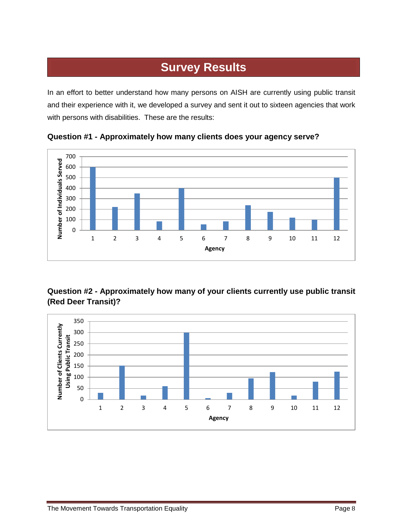# **Survey Results**

In an effort to better understand how many persons on AISH are currently using public transit and their experience with it, we developed a survey and sent it out to sixteen agencies that work with persons with disabilities. These are the results:



**Question #1 - Approximately how many clients does your agency serve?**

#### **Question #2 - Approximately how many of your clients currently use public transit (Red Deer Transit)?**

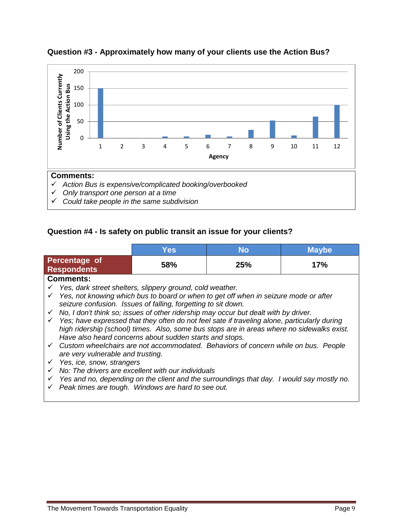

#### **Question #3 - Approximately how many of your clients use the Action Bus?**

#### **Question #4 - Is safety on public transit an issue for your clients?**

|                                                                                                                                                                                                                                                                                                         | <b>Yes</b>                                                                                                                                                                                                                                                                                                                                                                                                                                                                                                                                                                                                            | <b>No</b> | <b>Maybe</b> |
|---------------------------------------------------------------------------------------------------------------------------------------------------------------------------------------------------------------------------------------------------------------------------------------------------------|-----------------------------------------------------------------------------------------------------------------------------------------------------------------------------------------------------------------------------------------------------------------------------------------------------------------------------------------------------------------------------------------------------------------------------------------------------------------------------------------------------------------------------------------------------------------------------------------------------------------------|-----------|--------------|
| <b>Percentage of</b><br><b>Respondents</b>                                                                                                                                                                                                                                                              | 58%                                                                                                                                                                                                                                                                                                                                                                                                                                                                                                                                                                                                                   | 25%       | 17%          |
| <b>Comments:</b><br>$\checkmark$ Yes; have expressed that they often do not feel sate if traveling alone, particularly during<br>$\checkmark$ Custom wheelchairs are not accommodated. Behaviors of concern while on bus. People<br>are very vulnerable and trusting.<br>Yes, ice, snow, strangers<br>✓ | Yes, dark street shelters, slippery ground, cold weather.<br>Yes, not knowing which bus to board or when to get off when in seizure mode or after<br>seizure confusion. Issues of falling, forgetting to sit down.<br>No, I don't think so; issues of other ridership may occur but dealt with by driver.<br>high ridership (school) times. Also, some bus stops are in areas where no sidewalks exist.<br>Have also heard concerns about sudden starts and stops.<br>No: The drivers are excellent with our individuals<br>Yes and no, depending on the client and the surroundings that day. I would say mostly no. |           |              |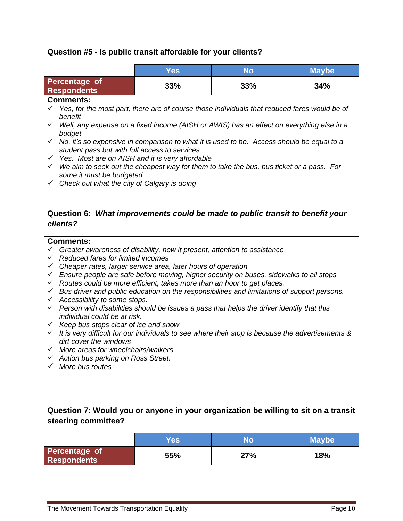#### **Question #5 - Is public transit affordable for your clients?**

|                                                                                                                                                         | Yes                                                                                                   | <b>No</b> | <b>Maybe</b> |  |  |  |  |  |
|---------------------------------------------------------------------------------------------------------------------------------------------------------|-------------------------------------------------------------------------------------------------------|-----------|--------------|--|--|--|--|--|
| Percentage of<br><b>Respondents</b>                                                                                                                     | 33%                                                                                                   | 33%       | 34%          |  |  |  |  |  |
| <b>Comments:</b>                                                                                                                                        |                                                                                                       |           |              |  |  |  |  |  |
| benefit                                                                                                                                                 | Yes, for the most part, there are of course those individuals that reduced fares would be of          |           |              |  |  |  |  |  |
| budget                                                                                                                                                  | $\checkmark$ Well, any expense on a fixed income (AISH or AWIS) has an effect on everything else in a |           |              |  |  |  |  |  |
| $\checkmark$ No, it's so expensive in comparison to what it is used to be. Access should be equal to a<br>student pass but with full access to services |                                                                                                       |           |              |  |  |  |  |  |
|                                                                                                                                                         | $\checkmark$ Yes. Most are on AISH and it is very affordable                                          |           |              |  |  |  |  |  |
| We aim to seek out the cheapest way for them to take the bus, bus ticket or a pass. For<br>✓<br>some it must be budgeted                                |                                                                                                       |           |              |  |  |  |  |  |
| $\checkmark$ Check out what the city of Calgary is doing                                                                                                |                                                                                                       |           |              |  |  |  |  |  |

#### **Question 6:** *What improvements could be made to public transit to benefit your clients?*

#### **Comments:**

- *Greater awareness of disability, how it present, attention to assistance*
- *Reduced fares for limited incomes*
- *Cheaper rates, larger service area, later hours of operation*
- *Ensure people are safe before moving, higher security on buses, sidewalks to all stops*
- *Routes could be more efficient, takes more than an hour to get places.*
- *Bus driver and public education on the responsibilities and limitations of support persons.*
- *Accessibility to some stops.*
- *Person with disabilities should be issues a pass that helps the driver identify that this individual could be at risk.*
- *Keep bus stops clear of ice and snow*
- *It is very difficult for our individuals to see where their stop is because the advertisements & dirt cover the windows*
- *More areas for wheelchairs/walkers*
- *Action bus parking on Ross Street.*
- *More bus routes*

#### **Question 7: Would you or anyone in your organization be willing to sit on a transit steering committee?**

|                              | <b>Yes</b> | No  | <b>Maybe</b> |
|------------------------------|------------|-----|--------------|
| Percentage of<br>Respondents | 55%        | 27% | 18%          |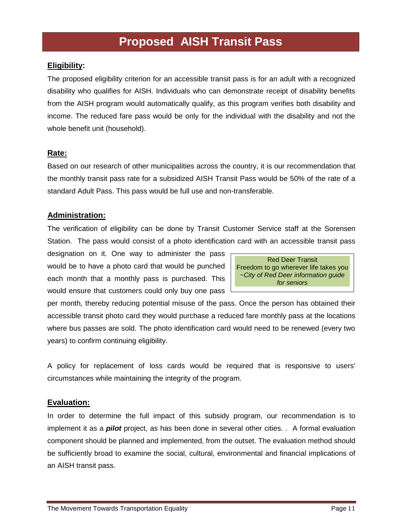## **Proposed AISH Transit Pass**

#### **Eligibility:**

The proposed eligibility criterion for an accessible transit pass is for an adult with a recognized disability who qualifies for AISH. Individuals who can demonstrate receipt of disability benefits from the AISH program would automatically qualify, as this program verifies both disability and income. The reduced fare pass would be only for the individual with the disability and not the whole benefit unit (household).

#### **Rate:**

Based on our research of other municipalities across the country, it is our recommendation that the monthly transit pass rate for a subsidized AISH Transit Pass would be 50% of the rate of a standard Adult Pass. This pass would be full use and non-transferable.

#### **Administration:**

The verification of eligibility can be done by Transit Customer Service staff at the Sorensen Station. The pass would consist of a photo identification card with an accessible transit pass

designation on it. One way to administer the pass would be to have a photo card that would be punched each month that a monthly pass is purchased. This would ensure that customers could only buy one pass

Red Deer Transit Freedom to go wherever life takes you *~City of Red Deer information guide for seniors*

per month, thereby reducing potential misuse of the pass. Once the person has obtained their accessible transit photo card they would purchase a reduced fare monthly pass at the locations where bus passes are sold. The photo identification card would need to be renewed (every two years) to confirm continuing eligibility.

A policy for replacement of loss cards would be required that is responsive to users' circumstances while maintaining the integrity of the program.

#### **Evaluation:**

In order to determine the full impact of this subsidy program, our recommendation is to implement it as a *pilot* project, as has been done in several other cities. . A formal evaluation component should be planned and implemented, from the outset. The evaluation method should be sufficiently broad to examine the social, cultural, environmental and financial implications of an AISH transit pass.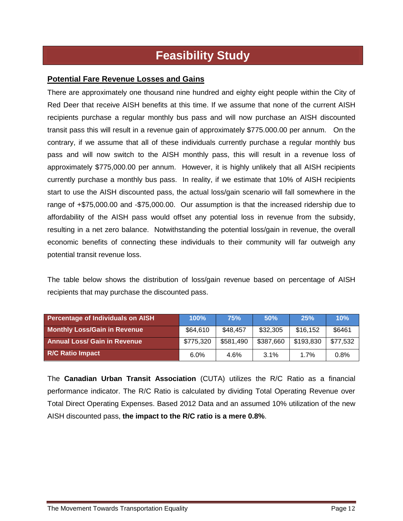# **Feasibility Study**

#### **Potential Fare Revenue Losses and Gains**

There are approximately one thousand nine hundred and eighty eight people within the City of Red Deer that receive AISH benefits at this time. If we assume that none of the current AISH recipients purchase a regular monthly bus pass and will now purchase an AISH discounted transit pass this will result in a revenue gain of approximately \$775.000.00 per annum. On the contrary, if we assume that all of these individuals currently purchase a regular monthly bus pass and will now switch to the AISH monthly pass, this will result in a revenue loss of approximately \$775,000.00 per annum. However, it is highly unlikely that all AISH recipients currently purchase a monthly bus pass. In reality, if we estimate that 10% of AISH recipients start to use the AISH discounted pass, the actual loss/gain scenario will fall somewhere in the range of +\$75,000.00 and -\$75,000.00. Our assumption is that the increased ridership due to affordability of the AISH pass would offset any potential loss in revenue from the subsidy, resulting in a net zero balance. Notwithstanding the potential loss/gain in revenue, the overall economic benefits of connecting these individuals to their community will far outweigh any potential transit revenue loss.

The table below shows the distribution of loss/gain revenue based on percentage of AISH recipients that may purchase the discounted pass.

| <b>Percentage of Individuals on AISH</b> | 100%      | 75%       | 50%       | 25%       | 10%      |
|------------------------------------------|-----------|-----------|-----------|-----------|----------|
| <b>Monthly Loss/Gain in Revenue</b>      | \$64,610  | \$48,457  | \$32,305  | \$16,152  | \$6461   |
| <b>Annual Loss/ Gain in Revenue</b>      | \$775,320 | \$581.490 | \$387,660 | \$193,830 | \$77,532 |
| <b>R/C Ratio Impact</b>                  | 6.0%      | 4.6%      | 3.1%      | 1.7%      | 0.8%     |

The **Canadian Urban Transit Association** (CUTA) utilizes the R/C Ratio as a financial performance indicator. The R/C Ratio is calculated by dividing Total Operating Revenue over Total Direct Operating Expenses. Based 2012 Data and an assumed 10% utilization of the new AISH discounted pass, **the impact to the R/C ratio is a mere 0.8%**.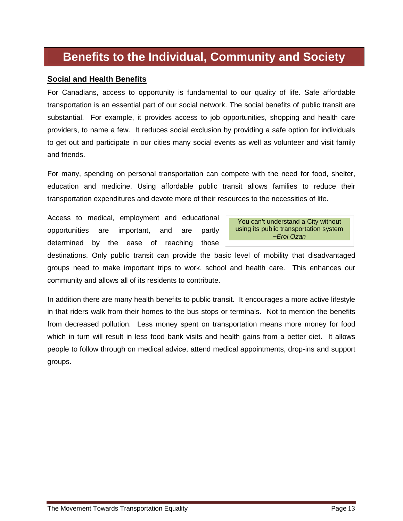# **Benefits to the Individual, Community and Society**

#### **Social and Health Benefits**

For Canadians, access to opportunity is fundamental to our quality of life. Safe affordable transportation is an essential part of our social network. The social benefits of public transit are substantial. For example, it provides access to job opportunities, shopping and health care providers, to name a few. It reduces social exclusion by providing a safe option for individuals to get out and participate in our cities many social events as well as volunteer and visit family and friends.

For many, spending on personal transportation can compete with the need for food, shelter, education and medicine. Using affordable public transit allows families to reduce their transportation expenditures and devote more of their resources to the necessities of life.

Access to medical, employment and educational opportunities are important, and are partly determined by the ease of reaching those



destinations. Only public transit can provide the basic level of mobility that disadvantaged groups need to make important trips to work, school and health care. This enhances our community and allows all of its residents to contribute.

In addition there are many health benefits to public transit. It encourages a more active lifestyle in that riders walk from their homes to the bus stops or terminals. Not to mention the benefits from decreased pollution. Less money spent on transportation means more money for food which in turn will result in less food bank visits and health gains from a better diet. It allows people to follow through on medical advice, attend medical appointments, drop-ins and support groups.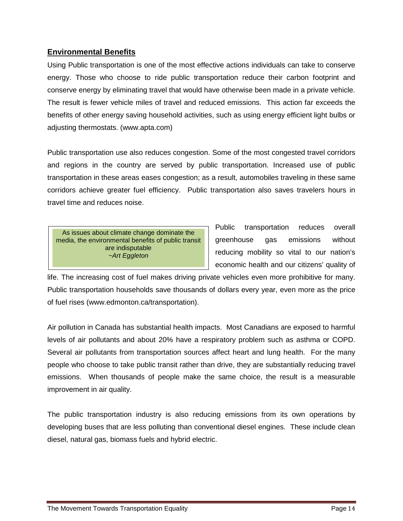#### **Environmental Benefits**

Using Public transportation is one of the most effective actions individuals can take to conserve energy. Those who choose to ride public transportation reduce their carbon footprint and conserve energy by eliminating travel that would have otherwise been made in a private vehicle. The result is fewer vehicle miles of travel and reduced emissions. This action far exceeds the benefits of other energy saving household activities, such as using energy efficient light bulbs or adjusting thermostats. (www.apta.com)

Public transportation use also reduces congestion. Some of the most congested travel corridors and regions in the country are served by public transportation. Increased use of public transportation in these areas eases congestion; as a result, automobiles traveling in these same corridors achieve greater fuel efficiency. Public transportation also saves travelers hours in travel time and reduces noise.

As issues about climate change dominate the media, the environmental benefits of public transit are indisputable *~Art Eggleton*

Public transportation reduces overall greenhouse gas emissions without reducing mobility so vital to our nation's economic health and our citizens' quality of

life. The increasing cost of fuel makes driving private vehicles even more prohibitive for many. Public transportation households save thousands of dollars every year, even more as the price of fuel rises (www.edmonton.ca/transportation).

Air pollution in Canada has substantial health impacts. Most Canadians are exposed to harmful levels of air pollutants and about 20% have a respiratory problem such as asthma or COPD. Several air pollutants from transportation sources affect heart and lung health. For the many people who choose to take public transit rather than drive, they are substantially reducing travel emissions. When thousands of people make the same choice, the result is a measurable improvement in air quality.

The public transportation industry is also reducing emissions from its own operations by developing buses that are less polluting than conventional diesel engines. These include clean diesel, natural gas, biomass fuels and hybrid electric.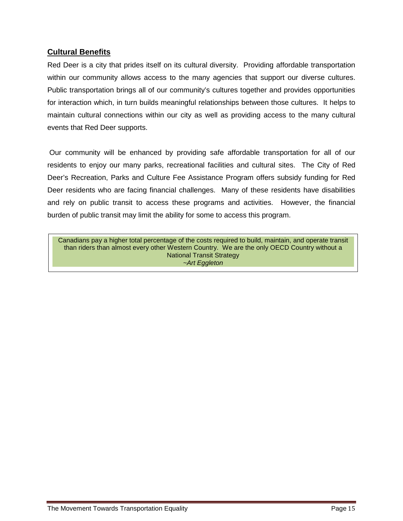#### **Cultural Benefits**

Red Deer is a city that prides itself on its cultural diversity. Providing affordable transportation within our community allows access to the many agencies that support our diverse cultures. Public transportation brings all of our community's cultures together and provides opportunities for interaction which, in turn builds meaningful relationships between those cultures. It helps to maintain cultural connections within our city as well as providing access to the many cultural events that Red Deer supports.

Our community will be enhanced by providing safe affordable transportation for all of our residents to enjoy our many parks, recreational facilities and cultural sites. The City of Red Deer's Recreation, Parks and Culture Fee Assistance Program offers subsidy funding for Red Deer residents who are facing financial challenges. Many of these residents have disabilities and rely on public transit to access these programs and activities. However, the financial burden of public transit may limit the ability for some to access this program.

Canadians pay a higher total percentage of the costs required to build, maintain, and operate transit than riders than almost every other Western Country. We are the only OECD Country without a National Transit Strategy *~Art Eggleton*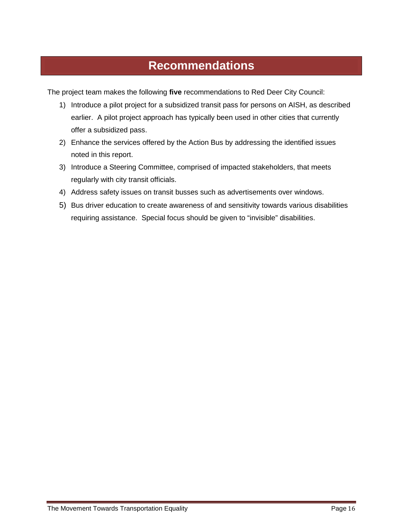# **Recommendations**

The project team makes the following **five** recommendations to Red Deer City Council:

- 1) Introduce a pilot project for a subsidized transit pass for persons on AISH, as described earlier. A pilot project approach has typically been used in other cities that currently offer a subsidized pass.
- 2) Enhance the services offered by the Action Bus by addressing the identified issues noted in this report.
- 3) Introduce a Steering Committee, comprised of impacted stakeholders, that meets regularly with city transit officials.
- 4) Address safety issues on transit busses such as advertisements over windows.
- 5) Bus driver education to create awareness of and sensitivity towards various disabilities requiring assistance. Special focus should be given to "invisible" disabilities.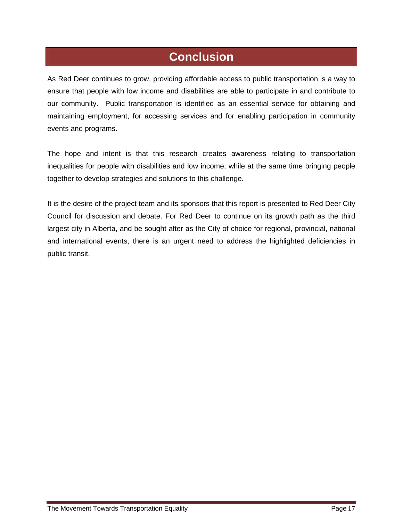# **Conclusion**

As Red Deer continues to grow, providing affordable access to public transportation is a way to ensure that people with low income and disabilities are able to participate in and contribute to our community. Public transportation is identified as an essential service for obtaining and maintaining employment, for accessing services and for enabling participation in community events and programs.

The hope and intent is that this research creates awareness relating to transportation inequalities for people with disabilities and low income, while at the same time bringing people together to develop strategies and solutions to this challenge.

It is the desire of the project team and its sponsors that this report is presented to Red Deer City Council for discussion and debate. For Red Deer to continue on its growth path as the third largest city in Alberta, and be sought after as the City of choice for regional, provincial, national and international events, there is an urgent need to address the highlighted deficiencies in public transit.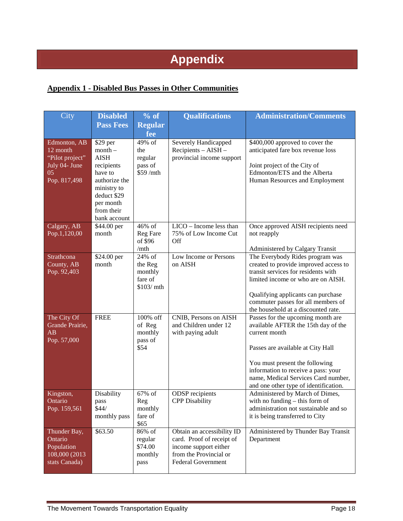# **Appendix**

#### **Appendix 1 - Disabled Bus Passes in Other Communities**

| City                                                                                 | <b>Disabled</b>                                                                                                                                         | % of                                                  | <b>Qualifications</b>                                                                                                                   | <b>Administration/Comments</b>                                                                                                                                                                                                                                                          |
|--------------------------------------------------------------------------------------|---------------------------------------------------------------------------------------------------------------------------------------------------------|-------------------------------------------------------|-----------------------------------------------------------------------------------------------------------------------------------------|-----------------------------------------------------------------------------------------------------------------------------------------------------------------------------------------------------------------------------------------------------------------------------------------|
|                                                                                      | <b>Pass Fees</b>                                                                                                                                        | <b>Regular</b>                                        |                                                                                                                                         |                                                                                                                                                                                                                                                                                         |
|                                                                                      |                                                                                                                                                         | fee                                                   |                                                                                                                                         |                                                                                                                                                                                                                                                                                         |
| Edmonton, AB<br>$12$ month<br>"Pilot project"<br>July 04- June<br>05<br>Pop. 817,498 | \$29 per<br>$month -$<br><b>AISH</b><br>recipients<br>have to<br>authorize the<br>ministry to<br>deduct \$29<br>per month<br>from their<br>bank account | 49% of<br>the<br>regular<br>pass of<br>\$59/mth       | Severely Handicapped<br>Recipients - AISH -<br>provincial income support                                                                | \$400,000 approved to cover the<br>anticipated fare box revenue loss<br>Joint project of the City of<br>Edmonton/ETS and the Alberta<br>Human Resources and Employment                                                                                                                  |
| Calgary, AB<br>Pop.1,120,00                                                          | \$44.00 per<br>month                                                                                                                                    | 46% of<br>Reg Fare<br>of \$96<br>/mth                 | LICO - Income less than<br>75% of Low Income Cut<br>Off                                                                                 | Once approved AISH recipients need<br>not reapply<br>Administered by Calgary Transit                                                                                                                                                                                                    |
| Strathcona<br>County, AB<br>Pop. 92,403                                              | \$24.00 per<br>month                                                                                                                                    | 24% of<br>the Reg<br>monthly<br>fare of<br>\$103/ mth | Low Income or Persons<br>on AISH                                                                                                        | The Everybody Rides program was<br>created to provide improved access to<br>transit services for residents with<br>limited income or who are on AISH.<br>Qualifying applicants can purchase<br>commuter passes for all members of<br>the household at a discounted rate.                |
| The City Of<br>Grande Prairie,<br>AB<br>Pop. 57,000                                  | <b>FREE</b>                                                                                                                                             | 100% off<br>of Reg<br>monthly<br>pass of<br>\$54      | CNIB, Persons on AISH<br>and Children under 12<br>with paying adult                                                                     | Passes for the upcoming month are<br>available AFTER the 15th day of the<br>current month<br>Passes are available at City Hall<br>You must present the following<br>information to receive a pass: your<br>name, Medical Services Card number,<br>and one other type of identification. |
| Kingston,<br>Ontario<br>Pop. 159,561                                                 | Disability<br>pass<br>\$44/<br>monthly pass                                                                                                             | 67% of<br>Reg<br>monthly<br>fare of<br>\$65           | <b>ODSP</b> recipients<br><b>CPP</b> Disability                                                                                         | Administered by March of Dimes,<br>with no funding $-$ this form of<br>administration not sustainable and so<br>it is being transferred to City                                                                                                                                         |
| Thunder Bay,<br>Ontario<br>Population<br>108,000 (2013)<br>stats Canada)             | \$63.50                                                                                                                                                 | 86% of<br>regular<br>\$74.00<br>monthly<br>pass       | Obtain an accessibility ID<br>card. Proof of receipt of<br>income support either<br>from the Provincial or<br><b>Federal Government</b> | Administered by Thunder Bay Transit<br>Department                                                                                                                                                                                                                                       |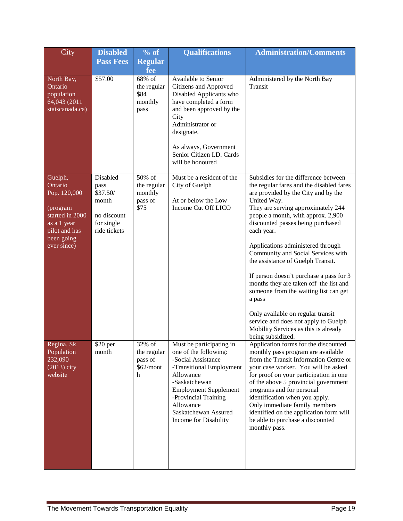| City                                                                                                                           | <b>Disabled</b>                                                                    | $\sqrt[9]{\text{of}}$                               | <b>Qualifications</b>                                                                                                                                                                                                                                   | <b>Administration/Comments</b>                                                                                                                                                                                                                                                                                                                                                                                                                                                                                                                                                                                                                                          |
|--------------------------------------------------------------------------------------------------------------------------------|------------------------------------------------------------------------------------|-----------------------------------------------------|---------------------------------------------------------------------------------------------------------------------------------------------------------------------------------------------------------------------------------------------------------|-------------------------------------------------------------------------------------------------------------------------------------------------------------------------------------------------------------------------------------------------------------------------------------------------------------------------------------------------------------------------------------------------------------------------------------------------------------------------------------------------------------------------------------------------------------------------------------------------------------------------------------------------------------------------|
|                                                                                                                                | <b>Pass Fees</b>                                                                   | <b>Regular</b><br>fee                               |                                                                                                                                                                                                                                                         |                                                                                                                                                                                                                                                                                                                                                                                                                                                                                                                                                                                                                                                                         |
| North Bay,<br>Ontario<br>population<br>64,043 (2011<br>statscanada.ca)                                                         | \$57.00                                                                            | 68% of<br>the regular<br>\$84<br>monthly<br>pass    | Available to Senior<br>Citizens and Approved<br>Disabled Applicants who<br>have completed a form<br>and been approved by the<br>City<br>Administrator or<br>designate.<br>As always, Government<br>Senior Citizen I.D. Cards<br>will be honoured        | Administered by the North Bay<br>Transit                                                                                                                                                                                                                                                                                                                                                                                                                                                                                                                                                                                                                                |
| Guelph,<br>Ontario<br>Pop. 120,000<br>(program<br>started in 2000<br>as a 1 year<br>pilot and has<br>been going<br>ever since) | Disabled<br>pass<br>\$37.50/<br>month<br>no discount<br>for single<br>ride tickets | 50% of<br>the regular<br>monthly<br>pass of<br>\$75 | Must be a resident of the<br>City of Guelph<br>At or below the Low<br>Income Cut Off LICO                                                                                                                                                               | Subsidies for the difference between<br>the regular fares and the disabled fares<br>are provided by the City and by the<br>United Way.<br>They are serving approximately 244<br>people a month, with approx. 2,900<br>discounted passes being purchased<br>each year.<br>Applications administered through<br>Community and Social Services with<br>the assistance of Guelph Transit.<br>If person doesn't purchase a pass for 3<br>months they are taken off the list and<br>someone from the waiting list can get<br>a pass<br>Only available on regular transit<br>service and does not apply to Guelph<br>Mobility Services as this is already<br>being subsidized. |
| Regina, Sk<br>Population<br>232,090<br>$(2013)$ city<br>website                                                                | \$20 per<br>month                                                                  | 32% of<br>the regular<br>pass of<br>\$62/mont<br>h  | Must be participating in<br>one of the following:<br>-Social Assistance<br>-Transitional Employment<br>Allowance<br>-Saskatchewan<br><b>Employment Supplement</b><br>-Provincial Training<br>Allowance<br>Saskatchewan Assured<br>Income for Disability | Application forms for the discounted<br>monthly pass program are available<br>from the Transit Information Centre or<br>your case worker. You will be asked<br>for proof on your participation in one<br>of the above 5 provincial government<br>programs and for personal<br>identification when you apply.<br>Only immediate family members<br>identified on the application form will<br>be able to purchase a discounted<br>monthly pass.                                                                                                                                                                                                                           |